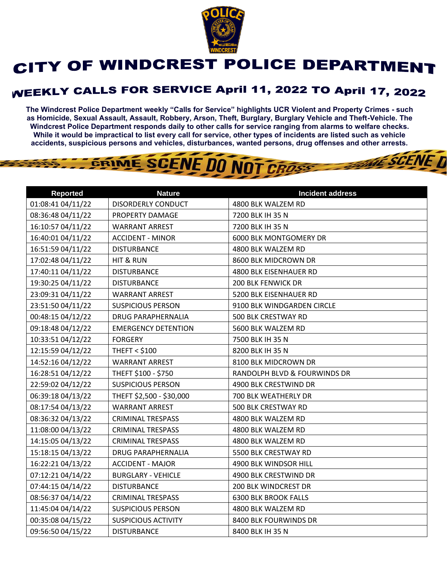

## CITY OF WINDCREST POLICE DEPARTMENT

## **WEEKLY CALLS FOR SERVICE April 11, 2022 TO April 17, 2022**

**The Windcrest Police Department weekly "Calls for Service" highlights UCR Violent and Property Crimes - such as Homicide, Sexual Assault, Assault, Robbery, Arson, Theft, Burglary, Burglary Vehicle and Theft-Vehicle. The Windcrest Police Department responds daily to other calls for service ranging from alarms to welfare checks. While it would be impractical to list every call for service, other types of incidents are listed such as vehicle accidents, suspicious persons and vehicles, disturbances, wanted persons, drug offenses and other arrests.** 

**THE SCENE D** 

GRIME SCENE DO NOT CROSS

| <b>Reported</b>   | <b>Nature</b>              | <b>Incident address</b>      |
|-------------------|----------------------------|------------------------------|
| 01:08:41 04/11/22 | DISORDERLY CONDUCT         | 4800 BLK WALZEM RD           |
| 08:36:48 04/11/22 | PROPERTY DAMAGE            | 7200 BLK IH 35 N             |
| 16:10:57 04/11/22 | <b>WARRANT ARREST</b>      | 7200 BLK IH 35 N             |
| 16:40:01 04/11/22 | <b>ACCIDENT - MINOR</b>    | 6000 BLK MONTGOMERY DR       |
| 16:51:59 04/11/22 | <b>DISTURBANCE</b>         | 4800 BLK WALZEM RD           |
| 17:02:48 04/11/22 | <b>HIT &amp; RUN</b>       | 8600 BLK MIDCROWN DR         |
| 17:40:11 04/11/22 | <b>DISTURBANCE</b>         | 4800 BLK EISENHAUER RD       |
| 19:30:25 04/11/22 | <b>DISTURBANCE</b>         | <b>200 BLK FENWICK DR</b>    |
| 23:09:31 04/11/22 | <b>WARRANT ARREST</b>      | 5200 BLK EISENHAUER RD       |
| 23:51:50 04/11/22 | <b>SUSPICIOUS PERSON</b>   | 9100 BLK WINDGARDEN CIRCLE   |
| 00:48:15 04/12/22 | DRUG PARAPHERNALIA         | 500 BLK CRESTWAY RD          |
| 09:18:48 04/12/22 | <b>EMERGENCY DETENTION</b> | 5600 BLK WALZEM RD           |
| 10:33:51 04/12/22 | <b>FORGERY</b>             | 7500 BLK IH 35 N             |
| 12:15:59 04/12/22 | <b>THEFT &lt; \$100</b>    | 8200 BLK IH 35 N             |
| 14:52:16 04/12/22 | <b>WARRANT ARREST</b>      | 8100 BLK MIDCROWN DR         |
| 16:28:51 04/12/22 | THEFT \$100 - \$750        | RANDOLPH BLVD & FOURWINDS DR |
| 22:59:02 04/12/22 | <b>SUSPICIOUS PERSON</b>   | 4900 BLK CRESTWIND DR        |
| 06:39:18 04/13/22 | THEFT \$2,500 - \$30,000   | 700 BLK WEATHERLY DR         |
| 08:17:54 04/13/22 | <b>WARRANT ARREST</b>      | 500 BLK CRESTWAY RD          |
| 08:36:32 04/13/22 | <b>CRIMINAL TRESPASS</b>   | 4800 BLK WALZEM RD           |
| 11:08:00 04/13/22 | CRIMINAL TRESPASS          | 4800 BLK WALZEM RD           |
| 14:15:05 04/13/22 | <b>CRIMINAL TRESPASS</b>   | 4800 BLK WALZEM RD           |
| 15:18:15 04/13/22 | <b>DRUG PARAPHERNALIA</b>  | 5500 BLK CRESTWAY RD         |
| 16:22:21 04/13/22 | <b>ACCIDENT - MAJOR</b>    | 4900 BLK WINDSOR HILL        |
| 07:12:21 04/14/22 | <b>BURGLARY - VEHICLE</b>  | 4900 BLK CRESTWIND DR        |
| 07:44:15 04/14/22 | <b>DISTURBANCE</b>         | 200 BLK WINDCREST DR         |
| 08:56:37 04/14/22 | <b>CRIMINAL TRESPASS</b>   | <b>6300 BLK BROOK FALLS</b>  |
| 11:45:04 04/14/22 | <b>SUSPICIOUS PERSON</b>   | 4800 BLK WALZEM RD           |
| 00:35:08 04/15/22 | <b>SUSPICIOUS ACTIVITY</b> | 8400 BLK FOURWINDS DR        |
| 09:56:50 04/15/22 | <b>DISTURBANCE</b>         | 8400 BLK IH 35 N             |